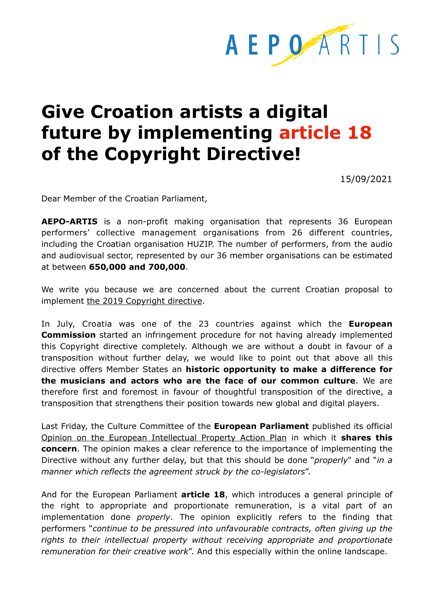

## **Give Croation artists a digital future by implementing article 18 of the Copyright Directive!**

15/09/2021

Dear Member of the Croatian Parliament,

**AEPO-ARTIS** is a non-profit making organisation that represents 36 European performers' collective management organisations from 26 different countries, including the Croatian organisation HUZIP. The number of performers, from the audio and audiovisual sector, represented by our 36 member organisations can be estimated at between **650,000 and 700,000**.

We write you because we are concerned about the current Croatian proposal to implement [the 2019 Copyright directive](https://eur-lex.europa.eu/legal-content/HR/TXT/HTML/?uri=CELEX:32019L0790&from=EN).

In July, Croatia was one of the 23 countries against which the **European Commission** started an infringement procedure for not having already implemented this Copyright directive completely. Although we are without a doubt in favour of a transposition without further delay, we would like to point out that above all this directive offers Member States an **historic opportunity to make a difference for the musicians and actors who are the face of our common culture**. We are therefore first and foremost in favour of thoughtful transposition of the directive, a transposition that strengthens their position towards new global and digital players.

Last Friday, the Culture Committee of the **European Parliament** published its official [Opinion on the European Intellectual Property Action Plan](https://www.europarl.europa.eu/doceo/document/CULT-AD-693629_EN.pdf) in which it **shares this concern**. The opinion makes a clear reference to the importance of implementing the Directive without any further delay, but that this should be done "*properly*" and "*in a manner which reflects the agreement struck by the co-legislators*".

And for the European Parliament **article 18**, which introduces a general principle of the right to appropriate and proportionate remuneration, is a vital part of an implementation done *properly*. The opinion explicitly refers to the finding that performers "*continue to be pressured into unfavourable contracts, often giving up the rights to their intellectual property without receiving appropriate and proportionate remuneration for their creative work*". And this especially within the online landscape.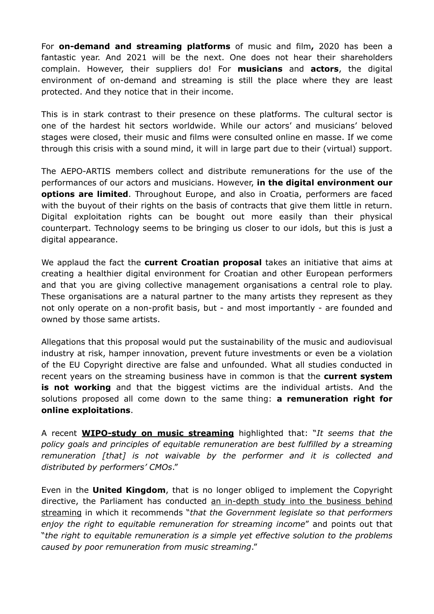For **on-demand and streaming platforms** of music and film**,** 2020 has been a fantastic year. And 2021 will be the next. One does not hear their shareholders complain. However, their suppliers do! For **musicians** and **actors**, the digital environment of on-demand and streaming is still the place where they are least protected. And they notice that in their income.

This is in stark contrast to their presence on these platforms. The cultural sector is one of the hardest hit sectors worldwide. While our actors' and musicians' beloved stages were closed, their music and films were consulted online en masse. If we come through this crisis with a sound mind, it will in large part due to their (virtual) support.

The AEPO-ARTIS members collect and distribute remunerations for the use of the performances of our actors and musicians. However, **in the digital environment our options are limited**. Throughout Europe, and also in Croatia, performers are faced with the buyout of their rights on the basis of contracts that give them little in return. Digital exploitation rights can be bought out more easily than their physical counterpart. Technology seems to be bringing us closer to our idols, but this is just a digital appearance.

We applaud the fact the **current Croatian proposal** takes an initiative that aims at creating a healthier digital environment for Croatian and other European performers and that you are giving collective management organisations a central role to play. These organisations are a natural partner to the many artists they represent as they not only operate on a non-profit basis, but - and most importantly - are founded and owned by those same artists.

Allegations that this proposal would put the sustainability of the music and audiovisual industry at risk, hamper innovation, prevent future investments or even be a violation of the EU Copyright directive are false and unfounded. What all studies conducted in recent years on the streaming business have in common is that the **current system is not working** and that the biggest victims are the individual artists. And the solutions proposed all come down to the same thing: **a remuneration right for online exploitations**.

A recent **[WIPO-study on music streaming](https://www.wipo.int/edocs/mdocs/copyright/en/sccr_41/sccr_41_3.pdf)** highlighted that: "*It seems that the policy goals and principles of equitable remuneration are best fulfilled by a streaming remuneration [that] is not waivable by the performer and it is collected and distributed by performers' CMOs*."

Even in the **United Kingdom**, that is no longer obliged to implement the Copyright directive, the Parliament has conducted [an in-depth study into the business behind](https://committees.parliament.uk/publications/6739/documents/72525/default/)  [streaming](https://committees.parliament.uk/publications/6739/documents/72525/default/) in which it recommends "*that the Government legislate so that performers enjoy the right to equitable remuneration for streaming income*" and points out that "*the right to equitable remuneration is a simple yet effective solution to the problems caused by poor remuneration from music streaming*."